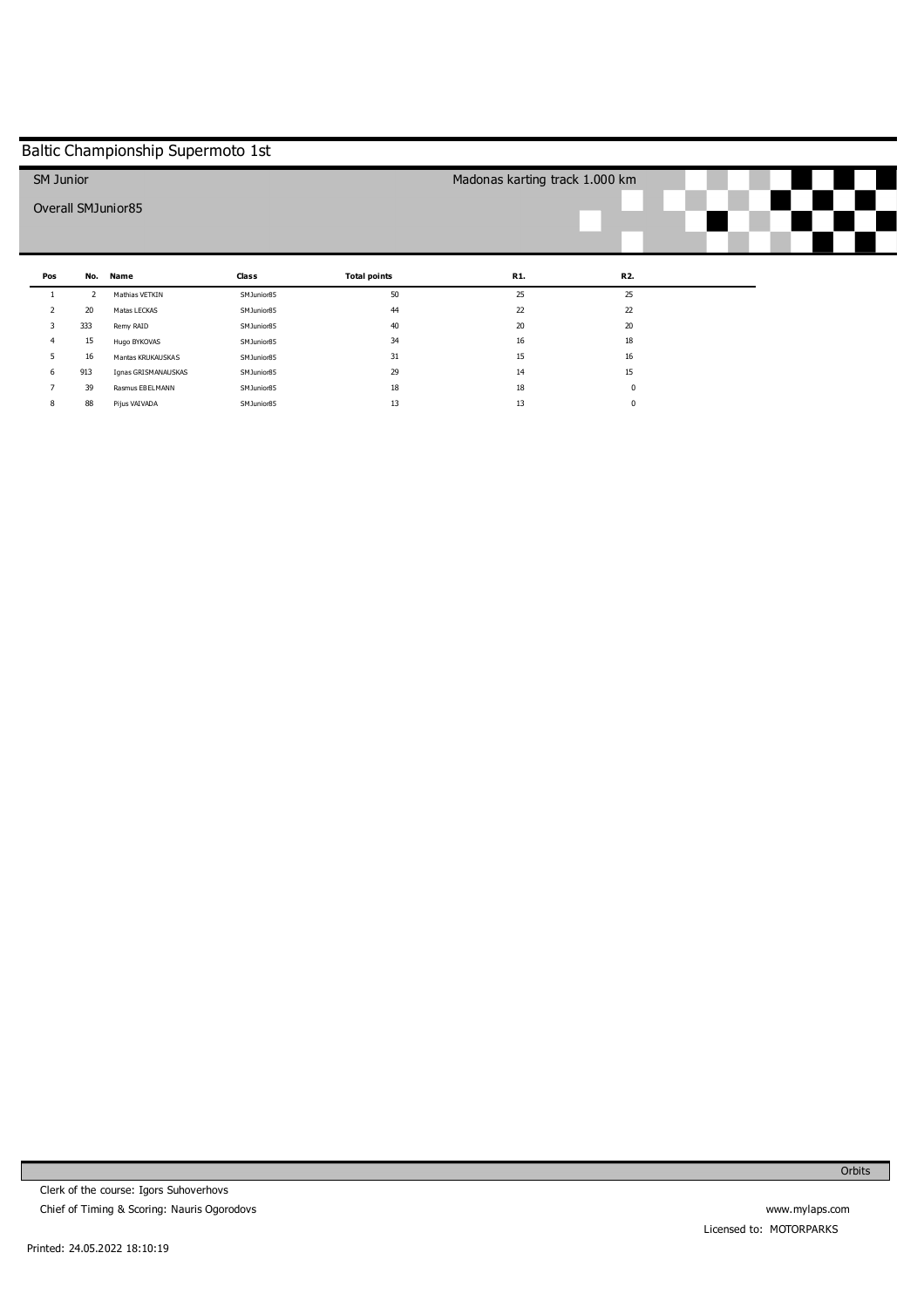### **Pos**  1 2 3 4 5 6 7 8 **No. Name**  2 20 333 Remy RAID 15 Hugo BYKOVAS 16 913 Ignas GRISMANAUSKAS 39 Rasmus EBELMANN 88 Pijus VAIVADA Mathias VETKIN Matas LECKAS Mantas KRUKAUSKAS **Class**  SMJunior85 SMJunior85 SMJunior85 SMJunior85 SMJunior85 SMJunior85 SMJunior85 SMJunior85 **Total points**  50 44 40 34 31 29 18 13 **R1.**  25 22 20 16 15 14 18 13 **R2.**  25 22 20 18 16 15 0 0 Baltic Championship Supermoto 1st SM Junior Overall SMJunior85 Madonas karting track 1.000 km

www.mylaps.com Licensed to: MOTORPARKS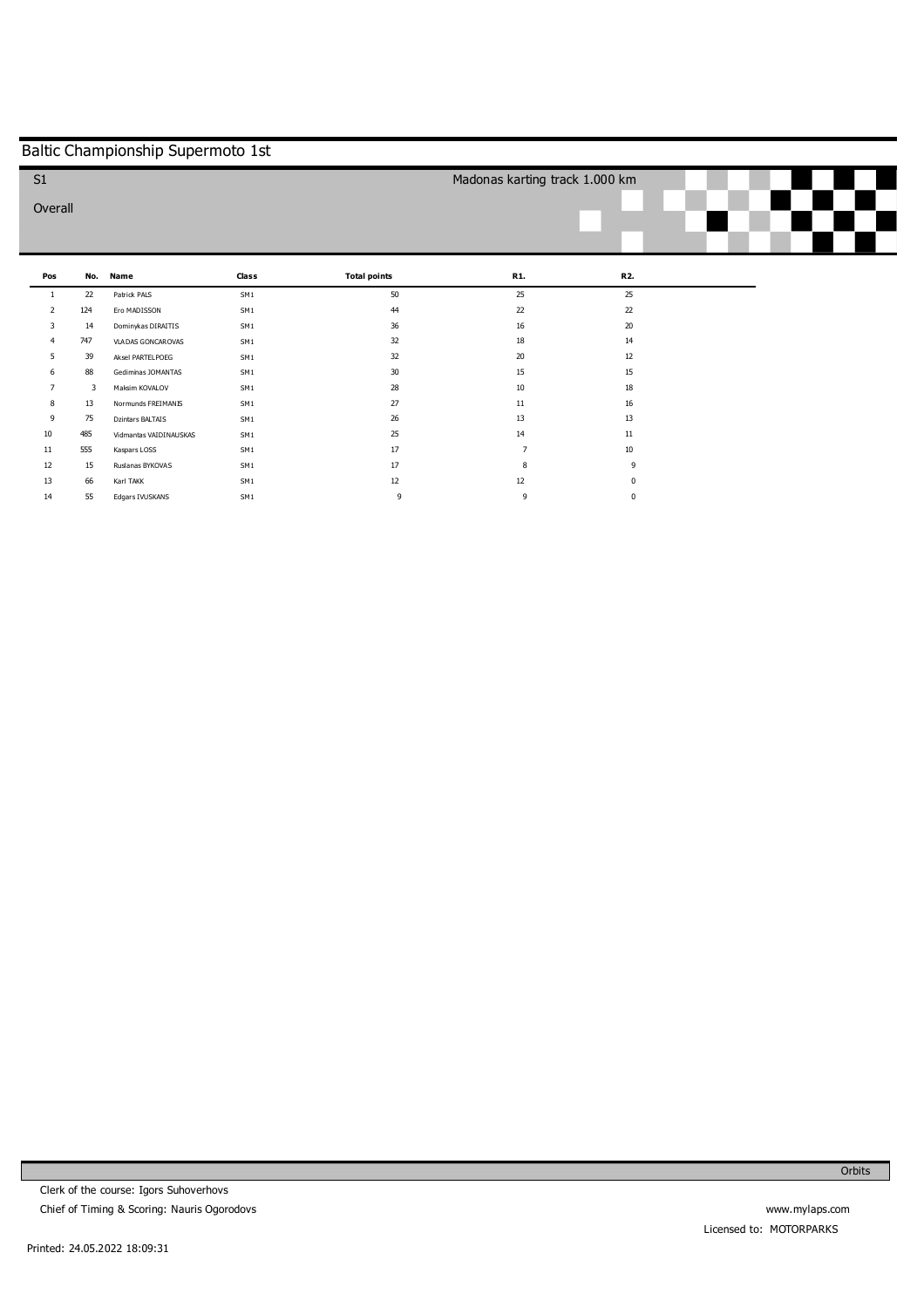# Baltic Championship Supermoto 1st

| S <sub>1</sub> |     |                         |                 |                     | Madonas karting track 1.000 km |        |  |
|----------------|-----|-------------------------|-----------------|---------------------|--------------------------------|--------|--|
| Overall        |     |                         |                 |                     |                                |        |  |
|                |     |                         |                 |                     |                                |        |  |
|                |     |                         |                 |                     |                                |        |  |
| Pos            | No. | Name                    | Class           | <b>Total points</b> | R1.                            | R2.    |  |
| -1             | 22  | Patrick PALS            | SM1             | 50                  | 25                             | 25     |  |
| 2              | 124 | Ero MADISSON            | SM1             | 44                  | 22                             | 22     |  |
| 3              | 14  | Dominykas DIRAITIS      | SM1             | 36                  | 16                             | 20     |  |
| $\overline{4}$ | 747 | VLADAS GONCAROVAS       | SM1             | 32                  | 18                             | 14     |  |
| 5              | 39  | Aksel PARTELPOEG        | SM1             | 32                  | 20                             | 12     |  |
| 6              | 88  | Gediminas JOMANTAS      | SM1             | 30                  | 15                             | 15     |  |
| $\overline{7}$ | 3   | Maksim KOVALOV          | SM1             | 28                  | 10                             | 18     |  |
| 8              | 13  | Normunds FREIMANIS      | SM1             | 27                  | $11\,$                         | 16     |  |
| 9              | 75  | <b>Dzintars BALTAIS</b> | SM1             | 26                  | 13                             | 13     |  |
| 10             | 485 | Vidmantas VAIDINAUSKAS  | SM1             | 25                  | 14                             | $11\,$ |  |
| 11             | 555 | Kaspars LOSS            | SM1             | 17                  | $\overline{7}$                 | 10     |  |
| 12             | 15  | Ruslanas BYKOVAS        | SM1             | 17                  | 8                              | 9      |  |
| 13             | 66  | Karl TAKK               | SM1             | 12                  | 12                             | 0      |  |
| 14             | 55  | Edgars IVUSKANS         | SM <sub>1</sub> | 9                   | 9                              | 0      |  |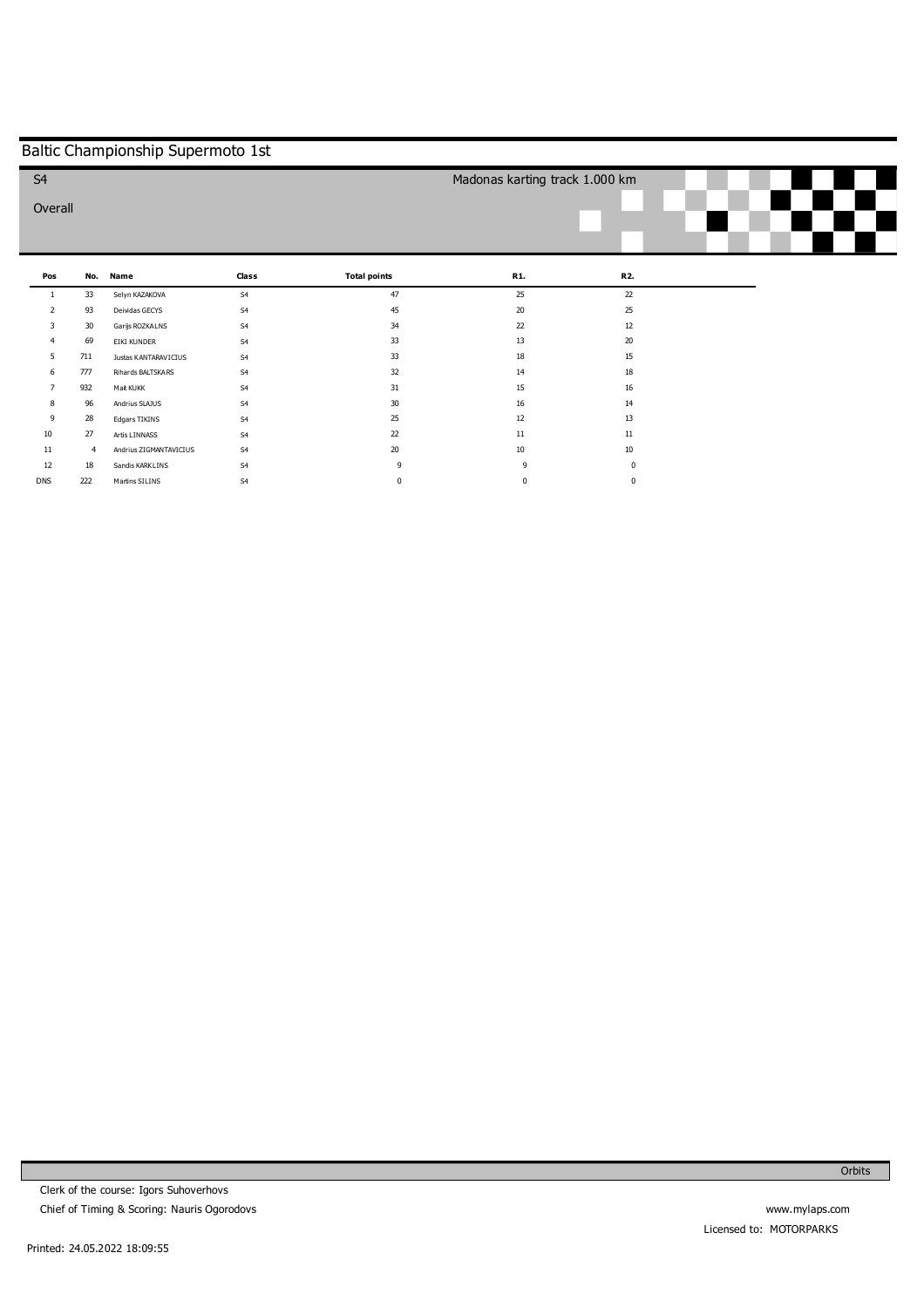# Baltic Championship Supermoto 1st

| S <sub>4</sub> |     |                        |                |                     | Madonas karting track 1.000 km |        |  |  |
|----------------|-----|------------------------|----------------|---------------------|--------------------------------|--------|--|--|
| Overall        |     |                        |                |                     |                                |        |  |  |
|                |     |                        |                |                     |                                |        |  |  |
|                |     |                        |                |                     |                                |        |  |  |
| Pos            | No. | Name                   | Class          | <b>Total points</b> | R1.                            | R2.    |  |  |
|                | 33  | Selyn KAZAKOVA         | S <sub>4</sub> | 47                  | 25                             | 22     |  |  |
| 2              | 93  | Deividas GECYS         | S <sub>4</sub> | 45                  | 20                             | 25     |  |  |
| 3              | 30  | Garijs ROZKALNS        | S <sub>4</sub> | 34                  | 22                             | 12     |  |  |
| 4              | 69  | EIKI KUNDER            | S <sub>4</sub> | 33                  | 13                             | 20     |  |  |
| 5              | 711 | Justas KANTARAVICIUS   | S <sub>4</sub> | 33                  | 18                             | 15     |  |  |
| 6              | 777 | Rihards BALTSKARS      | S <sub>4</sub> | 32                  | 14                             | 18     |  |  |
| $\overline{7}$ | 932 | Mait KUKK              | S <sub>4</sub> | 31                  | 15                             | 16     |  |  |
| 8              | 96  | Andrius SLAJUS         | S <sub>4</sub> | 30                  | 16                             | 14     |  |  |
| 9              | 28  | Edgars TIKINS          | S <sub>4</sub> | 25                  | 12                             | 13     |  |  |
| 10             | 27  | Artis LINNASS          | S <sub>4</sub> | 22                  | 11                             | $11\,$ |  |  |
| 11             | 4   | Andrius ZIGMANTAVICIUS | S <sub>4</sub> | 20                  | 10                             | 10     |  |  |
| 12             | 18  | Sandis KARKLINS        | S <sub>4</sub> | 9                   | 9                              | 0      |  |  |
| <b>DNS</b>     | 222 | Martins SILINS         | S <sub>4</sub> | 0                   | $\Omega$                       | 0      |  |  |

www.mylaps.com Licensed to: MOTORPARKS